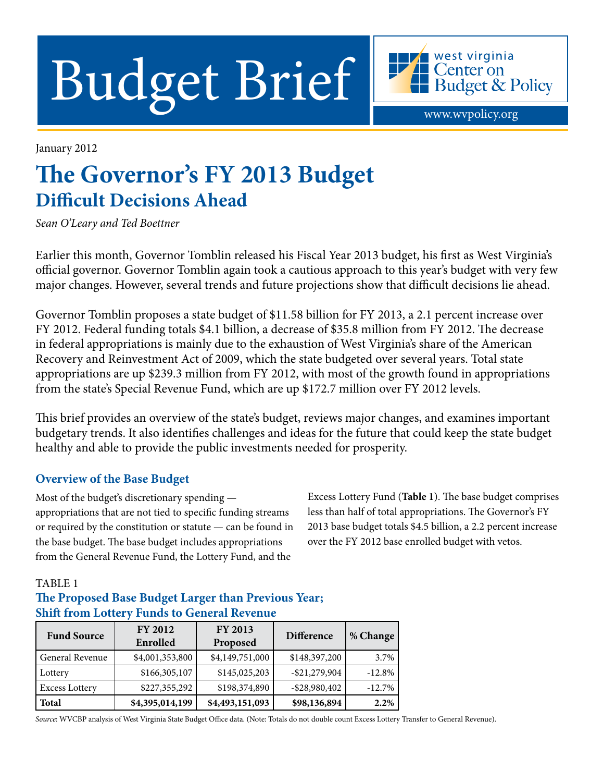Budget Brief Hendget & Policy

January 2012

# **The Governor's FY 2013 Budget Difficult Decisions Ahead**

*Sean O'Leary and Ted Boettner*

Earlier this month, Governor Tomblin released his Fiscal Year 2013 budget, his first as West Virginia's official governor. Governor Tomblin again took a cautious approach to this year's budget with very few major changes. However, several trends and future projections show that difficult decisions lie ahead.

Governor Tomblin proposes a state budget of \$11.58 billion for FY 2013, a 2.1 percent increase over FY 2012. Federal funding totals \$4.1 billion, a decrease of \$35.8 million from FY 2012. The decrease in federal appropriations is mainly due to the exhaustion of West Virginia's share of the American Recovery and Reinvestment Act of 2009, which the state budgeted over several years. Total state appropriations are up \$239.3 million from FY 2012, with most of the growth found in appropriations from the state's Special Revenue Fund, which are up \$172.7 million over FY 2012 levels.

This brief provides an overview of the state's budget, reviews major changes, and examines important budgetary trends. It also identifies challenges and ideas for the future that could keep the state budget healthy and able to provide the public investments needed for prosperity.

#### **Overview of the Base Budget**

Most of the budget's discretionary spending appropriations that are not tied to specific funding streams or required by the constitution or statute — can be found in the base budget. The base budget includes appropriations from the General Revenue Fund, the Lottery Fund, and the

Excess Lottery Fund (**Table 1**). The base budget comprises less than half of total appropriations. The Governor's FY 2013 base budget totals \$4.5 billion, a 2.2 percent increase over the FY 2012 base enrolled budget with vetos.

#### TABLE 1

### **The Proposed Base Budget Larger than Previous Year; Shift from Lottery Funds to General Revenue**

| <b>Fund Source</b>    | <b>FY 2012</b><br>Enrolled | <b>FY 2013</b><br>Proposed | <b>Difference</b> | % Change |
|-----------------------|----------------------------|----------------------------|-------------------|----------|
| General Revenue       | \$4,001,353,800            | \$4,149,751,000            | \$148,397,200     | 3.7%     |
| Lottery               | \$166,305,107              | \$145,025,203              | $-$ \$21,279,904  | $-12.8%$ |
| <b>Excess Lottery</b> | \$227,355,292              | \$198,374,890              | $-$ \$28,980,402  | $-12.7%$ |
| Total                 | \$4,395,014,199            | \$4,493,151,093            | \$98,136,894      | 2.2%     |

*Source*: WVCBP analysis of West Virginia State Budget Office data. (Note: Totals do not double count Excess Lottery Transfer to General Revenue).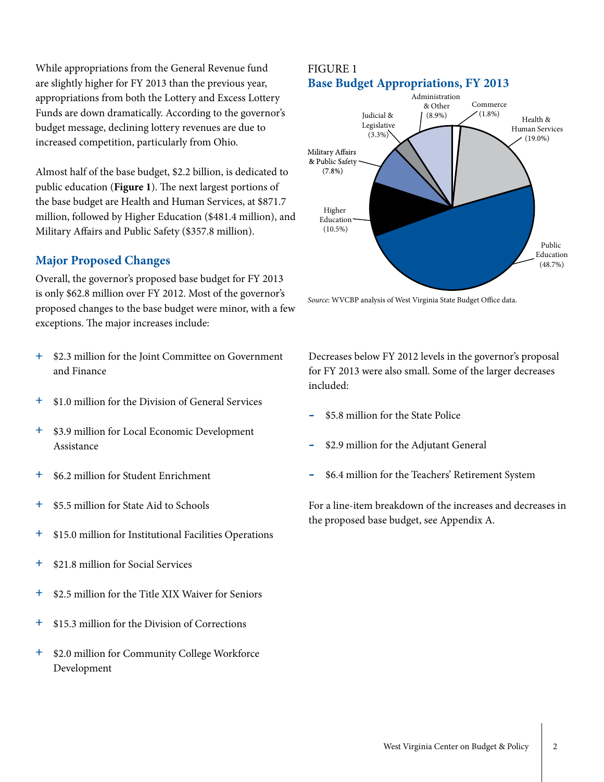While appropriations from the General Revenue fund are slightly higher for FY 2013 than the previous year, appropriations from both the Lottery and Excess Lottery Funds are down dramatically. According to the governor's budget message, declining lottery revenues are due to increased competition, particularly from Ohio.

Almost half of the base budget, \$2.2 billion, is dedicated to public education (**Figure 1**). The next largest portions of the base budget are Health and Human Services, at \$871.7 million, followed by Higher Education (\$481.4 million), and Military Affairs and Public Safety (\$357.8 million).

#### **Major Proposed Changes**

Overall, the governor's proposed base budget for FY 2013 is only \$62.8 million over FY 2012. Most of the governor's proposed changes to the base budget were minor, with a few exceptions. The major increases include:

- **+** \$2.3 million for the Joint Committee on Government and Finance
- **+** \$1.0 million for the Division of General Services
- **+** \$3.9 million for Local Economic Development Assistance
- **+** \$6.2 million for Student Enrichment
- **+** \$5.5 million for State Aid to Schools
- **+** \$15.0 million for Institutional Facilities Operations
- **+** \$21.8 million for Social Services
- **+** \$2.5 million for the Title XIX Waiver for Seniors
- **+** \$15.3 million for the Division of Corrections
- **+** \$2.0 million for Community College Workforce Development

#### FIGURE 1 **Base Budget Appropriations, FY 2013**



*Source*: WVCBP analysis of West Virginia State Budget Office data.

Decreases below FY 2012 levels in the governor's proposal for FY 2013 were also small. Some of the larger decreases included:

- **-** \$5.8 million for the State Police
- **-** \$2.9 million for the Adjutant General
- **-** \$6.4 million for the Teachers' Retirement System

For a line-item breakdown of the increases and decreases in the proposed base budget, see Appendix A.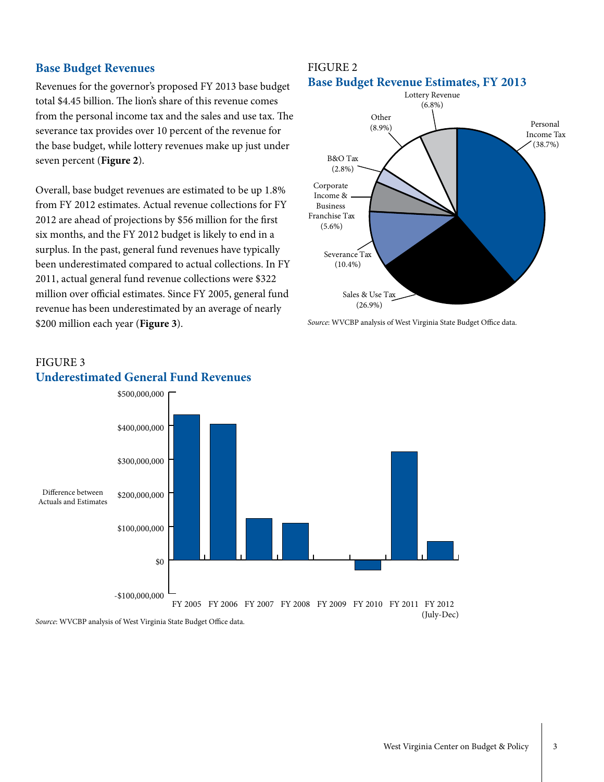#### **Base Budget Revenues**

Revenues for the governor's proposed FY 2013 base budget total \$4.45 billion. The lion's share of this revenue comes from the personal income tax and the sales and use tax. The severance tax provides over 10 percent of the revenue for the base budget, while lottery revenues make up just under seven percent (**Figure 2**).

Overall, base budget revenues are estimated to be up 1.8% from FY 2012 estimates. Actual revenue collections for FY 2012 are ahead of projections by \$56 million for the first six months, and the FY 2012 budget is likely to end in a surplus. In the past, general fund revenues have typically been underestimated compared to actual collections. In FY 2011, actual general fund revenue collections were \$322 million over official estimates. Since FY 2005, general fund revenue has been underestimated by an average of nearly \$200 million each year (**Figure 3**).

#### FIGURE 2 **Base Budget Revenue Estimates, FY 2013**



*Source*: WVCBP analysis of West Virginia State Budget Office data.

#### FIGURE 3 **Underestimated General Fund Revenues** \$500,000,000

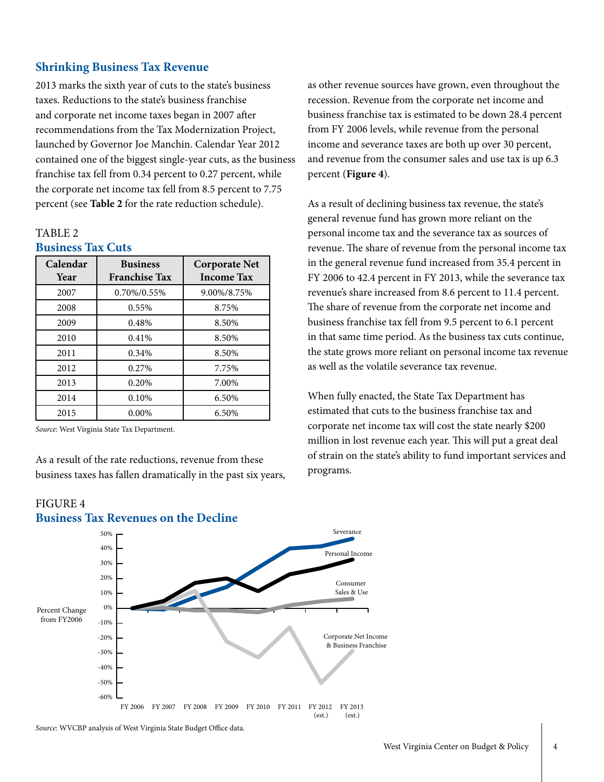#### **Shrinking Business Tax Revenue**

2013 marks the sixth year of cuts to the state's business taxes. Reductions to the state's business franchise and corporate net income taxes began in 2007 after recommendations from the Tax Modernization Project, launched by Governor Joe Manchin. Calendar Year 2012 contained one of the biggest single-year cuts, as the business franchise tax fell from 0.34 percent to 0.27 percent, while the corporate net income tax fell from 8.5 percent to 7.75 percent (see **Table 2** for the rate reduction schedule).

#### TABLE 2 **Business Tax Cuts**

| Calendar<br>Year | <b>Business</b><br><b>Franchise Tax</b> | <b>Corporate Net</b><br><b>Income Tax</b> |  |  |
|------------------|-----------------------------------------|-------------------------------------------|--|--|
| 2007             | 0.70%/0.55%                             | 9.00%/8.75%                               |  |  |
| 2008             | 0.55%                                   | 8.75%                                     |  |  |
| 2009             | 0.48%                                   | 8.50%                                     |  |  |
| 2010             | 0.41%                                   | 8.50%                                     |  |  |
| 2011             | 0.34%                                   | 8.50%                                     |  |  |
| 2012             | 0.27%                                   | 7.75%                                     |  |  |
| 2013             | 0.20%                                   | 7.00%                                     |  |  |
| 2014             | 0.10%                                   | 6.50%                                     |  |  |
| 2015             | $0.00\%$                                | 6.50%                                     |  |  |

*Source*: West Virginia State Tax Department.

As a result of the rate reductions, revenue from these business taxes has fallen dramatically in the past six years,





*Source*: WVCBP analysis of West Virginia State Budget Office data.

as other revenue sources have grown, even throughout the recession. Revenue from the corporate net income and business franchise tax is estimated to be down 28.4 percent from FY 2006 levels, while revenue from the personal income and severance taxes are both up over 30 percent, and revenue from the consumer sales and use tax is up 6.3 percent (**Figure 4**).

As a result of declining business tax revenue, the state's general revenue fund has grown more reliant on the personal income tax and the severance tax as sources of revenue. The share of revenue from the personal income tax in the general revenue fund increased from 35.4 percent in FY 2006 to 42.4 percent in FY 2013, while the severance tax revenue's share increased from 8.6 percent to 11.4 percent. The share of revenue from the corporate net income and business franchise tax fell from 9.5 percent to 6.1 percent in that same time period. As the business tax cuts continue, the state grows more reliant on personal income tax revenue as well as the volatile severance tax revenue.

When fully enacted, the State Tax Department has estimated that cuts to the business franchise tax and corporate net income tax will cost the state nearly \$200 million in lost revenue each year. This will put a great deal of strain on the state's ability to fund important services and programs.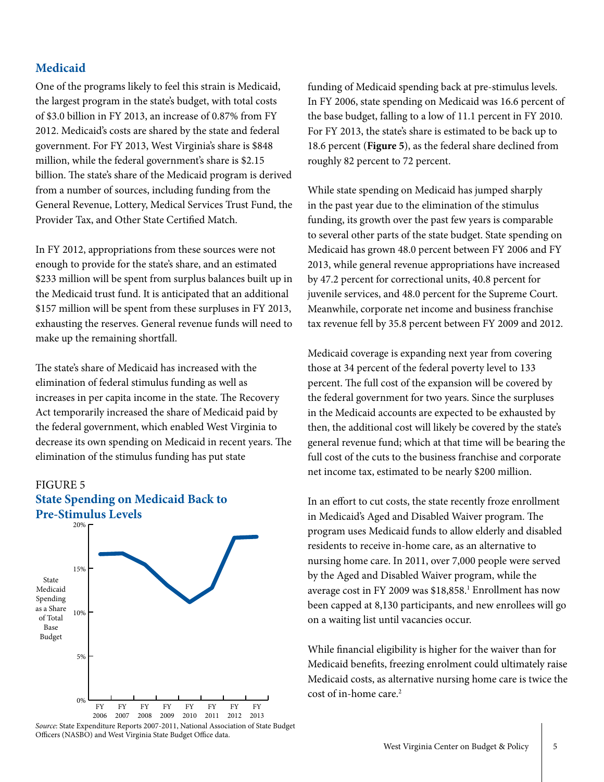#### **Medicaid**

One of the programs likely to feel this strain is Medicaid, the largest program in the state's budget, with total costs of \$3.0 billion in FY 2013, an increase of 0.87% from FY 2012. Medicaid's costs are shared by the state and federal government. For FY 2013, West Virginia's share is \$848 million, while the federal government's share is \$2.15 billion. The state's share of the Medicaid program is derived from a number of sources, including funding from the General Revenue, Lottery, Medical Services Trust Fund, the Provider Tax, and Other State Certified Match.

In FY 2012, appropriations from these sources were not enough to provide for the state's share, and an estimated \$233 million will be spent from surplus balances built up in the Medicaid trust fund. It is anticipated that an additional \$157 million will be spent from these surpluses in FY 2013, exhausting the reserves. General revenue funds will need to make up the remaining shortfall.

The state's share of Medicaid has increased with the elimination of federal stimulus funding as well as increases in per capita income in the state. The Recovery Act temporarily increased the share of Medicaid paid by the federal government, which enabled West Virginia to decrease its own spending on Medicaid in recent years. The elimination of the stimulus funding has put state





*Source*: State Expenditure Reports 2007-2011, National Association of State Budget Officers (NASBO) and West Virginia State Budget Office data.

funding of Medicaid spending back at pre-stimulus levels. In FY 2006, state spending on Medicaid was 16.6 percent of the base budget, falling to a low of 11.1 percent in FY 2010. For FY 2013, the state's share is estimated to be back up to 18.6 percent (**Figure 5**), as the federal share declined from roughly 82 percent to 72 percent.

While state spending on Medicaid has jumped sharply in the past year due to the elimination of the stimulus funding, its growth over the past few years is comparable to several other parts of the state budget. State spending on Medicaid has grown 48.0 percent between FY 2006 and FY 2013, while general revenue appropriations have increased by 47.2 percent for correctional units, 40.8 percent for juvenile services, and 48.0 percent for the Supreme Court. Meanwhile, corporate net income and business franchise tax revenue fell by 35.8 percent between FY 2009 and 2012.

Medicaid coverage is expanding next year from covering those at 34 percent of the federal poverty level to 133 percent. The full cost of the expansion will be covered by the federal government for two years. Since the surpluses in the Medicaid accounts are expected to be exhausted by then, the additional cost will likely be covered by the state's general revenue fund; which at that time will be bearing the full cost of the cuts to the business franchise and corporate net income tax, estimated to be nearly \$200 million.

In an effort to cut costs, the state recently froze enrollment in Medicaid's Aged and Disabled Waiver program. The program uses Medicaid funds to allow elderly and disabled residents to receive in-home care, as an alternative to nursing home care. In 2011, over 7,000 people were served by the Aged and Disabled Waiver program, while the average cost in FY 2009 was \$18,858.1 Enrollment has now been capped at 8,130 participants, and new enrollees will go on a waiting list until vacancies occur.

While financial eligibility is higher for the waiver than for Medicaid benefits, freezing enrolment could ultimately raise Medicaid costs, as alternative nursing home care is twice the cost of in-home care.2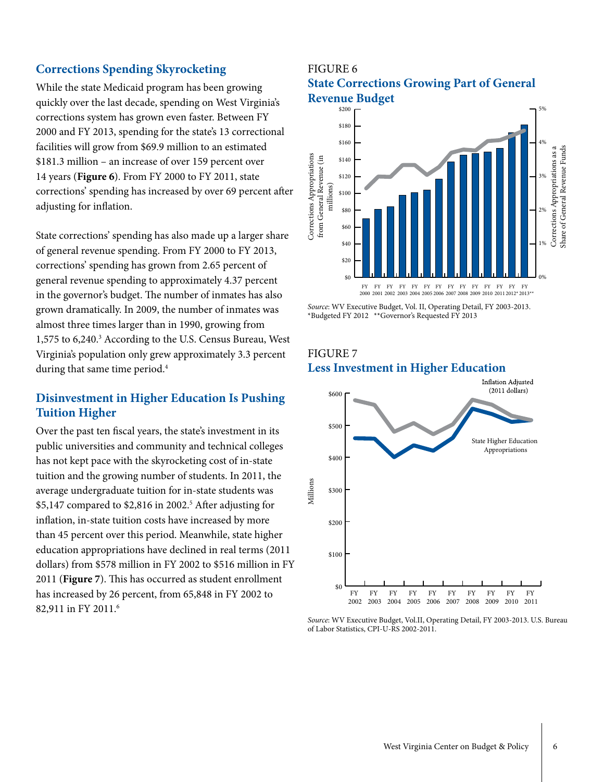#### **Corrections Spending Skyrocketing**

While the state Medicaid program has been growing quickly over the last decade, spending on West Virginia's corrections system has grown even faster. Between FY 2000 and FY 2013, spending for the state's 13 correctional facilities will grow from \$69.9 million to an estimated \$181.3 million – an increase of over 159 percent over 14 years (**Figure 6**). From FY 2000 to FY 2011, state corrections' spending has increased by over 69 percent after adjusting for inflation.

State corrections' spending has also made up a larger share of general revenue spending. From FY 2000 to FY 2013, corrections' spending has grown from 2.65 percent of general revenue spending to approximately 4.37 percent in the governor's budget. The number of inmates has also grown dramatically. In 2009, the number of inmates was almost three times larger than in 1990, growing from 1,575 to 6,240.<sup>3</sup> According to the U.S. Census Bureau, West Virginia's population only grew approximately 3.3 percent during that same time period.<sup>4</sup>

#### **Disinvestment in Higher Education Is Pushing Tuition Higher**

Over the past ten fiscal years, the state's investment in its public universities and community and technical colleges has not kept pace with the skyrocketing cost of in-state tuition and the growing number of students. In 2011, the average undergraduate tuition for in-state students was \$5,147 compared to \$2,816 in 2002.<sup>5</sup> After adjusting for inflation, in-state tuition costs have increased by more than 45 percent over this period. Meanwhile, state higher education appropriations have declined in real terms (2011 dollars) from \$578 million in FY 2002 to \$516 million in FY 2011 (**Figure 7**). This has occurred as student enrollment has increased by 26 percent, from 65,848 in FY 2002 to 82,911 in FY 2011.6

#### FIGURE 6 **State Corrections Growing Part of General Revenue Budget**



*Source*: WV Executive Budget, Vol. II, Operating Detail, FY 2003-2013.

#### FIGURE 7 **Less Investment in Higher Education**



*Source*: WV Executive Budget, Vol.II, Operating Detail, FY 2003-2013. U.S. Bureau of Labor Statistics, CPI-U-RS 2002-2011.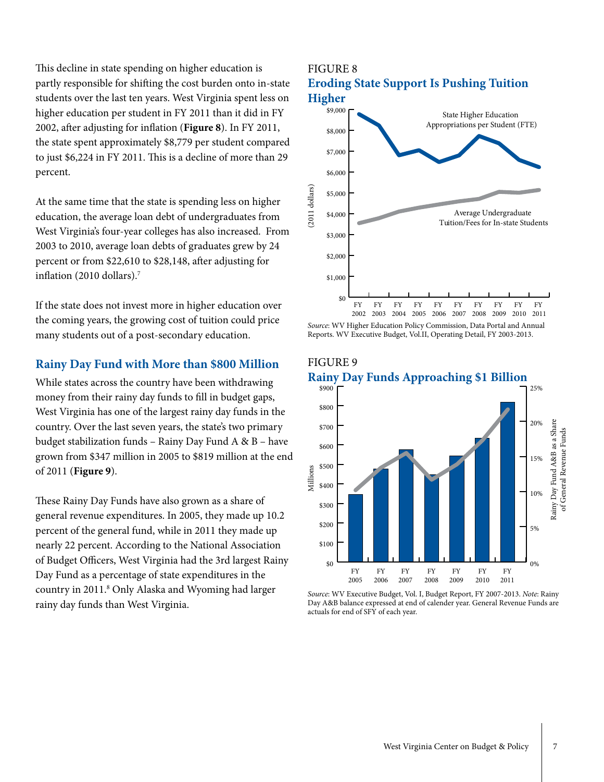This decline in state spending on higher education is partly responsible for shifting the cost burden onto in-state students over the last ten years. West Virginia spent less on higher education per student in FY 2011 than it did in FY 2002, after adjusting for inflation (**Figure 8**). In FY 2011, the state spent approximately \$8,779 per student compared to just \$6,224 in FY 2011. This is a decline of more than 29 percent.

At the same time that the state is spending less on higher education, the average loan debt of undergraduates from West Virginia's four-year colleges has also increased. From 2003 to 2010, average loan debts of graduates grew by 24 percent or from \$22,610 to \$28,148, after adjusting for inflation (2010 dollars). $7$ 

If the state does not invest more in higher education over the coming years, the growing cost of tuition could price many students out of a post-secondary education.

#### **Rainy Day Fund with More than \$800 Million**

While states across the country have been withdrawing money from their rainy day funds to fill in budget gaps, West Virginia has one of the largest rainy day funds in the country. Over the last seven years, the state's two primary budget stabilization funds – Rainy Day Fund A & B – have grown from \$347 million in 2005 to \$819 million at the end of 2011 (**Figure 9**).

These Rainy Day Funds have also grown as a share of general revenue expenditures. In 2005, they made up 10.2 percent of the general fund, while in 2011 they made up nearly 22 percent. According to the National Association of Budget Officers, West Virginia had the 3rd largest Rainy Day Fund as a percentage of state expenditures in the country in 2011.<sup>8</sup> Only Alaska and Wyoming had larger rainy day funds than West Virginia.

## FIGURE 8 **Eroding State Support Is Pushing Tuition Higher** \$9,000 State Higher Education Appropriations per Student (FTE) \$8,000 \$7,000 \$6,000  $(2011$  dollars)

Average Undergraduate Tuition/Fees for In-state Students

FY

FY

FY

FY FY



FY

FY

FY

FY

#### FIGURE 9

 $$0$ 

FY

\$1,000

\$2,000

\$3,000

\$4,000

(2011 dollars)

\$5,000





*Source*: WV Executive Budget, Vol. I, Budget Report, FY 2007-2013. *Note*: Rainy Day A&B balance expressed at end of calender year. General Revenue Funds are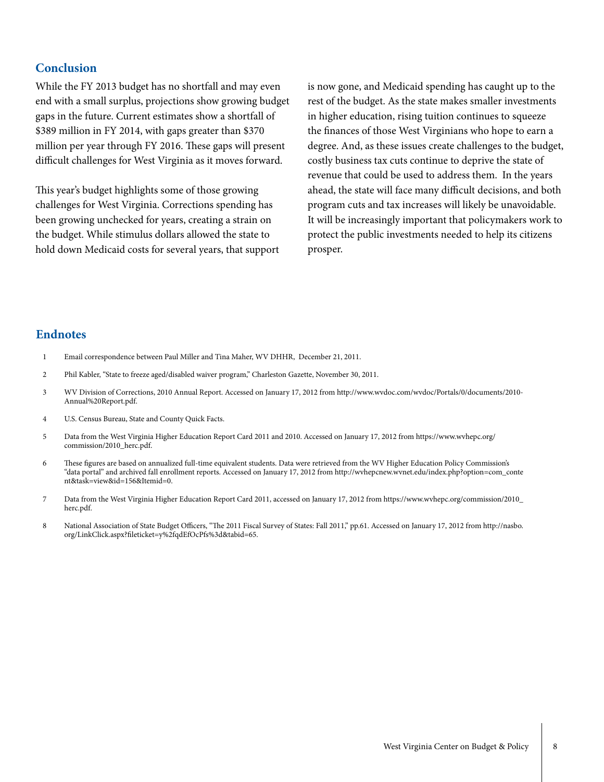#### **Conclusion**

While the FY 2013 budget has no shortfall and may even end with a small surplus, projections show growing budget gaps in the future. Current estimates show a shortfall of \$389 million in FY 2014, with gaps greater than \$370 million per year through FY 2016. These gaps will present difficult challenges for West Virginia as it moves forward.

This year's budget highlights some of those growing challenges for West Virginia. Corrections spending has been growing unchecked for years, creating a strain on the budget. While stimulus dollars allowed the state to hold down Medicaid costs for several years, that support is now gone, and Medicaid spending has caught up to the rest of the budget. As the state makes smaller investments in higher education, rising tuition continues to squeeze the finances of those West Virginians who hope to earn a degree. And, as these issues create challenges to the budget, costly business tax cuts continue to deprive the state of revenue that could be used to address them. In the years ahead, the state will face many difficult decisions, and both program cuts and tax increases will likely be unavoidable. It will be increasingly important that policymakers work to protect the public investments needed to help its citizens prosper.

#### **Endnotes**

- 1 Email correspondence between Paul Miller and Tina Maher, WV DHHR, December 21, 2011.
- 2 Phil Kabler, "State to freeze aged/disabled waiver program," Charleston Gazette, November 30, 2011.
- 3 WV Division of Corrections, 2010 Annual Report. Accessed on January 17, 2012 from http://www.wvdoc.com/wvdoc/Portals/0/documents/2010- Annual%20Report.pdf.
- 4 U.S. Census Bureau, State and County Quick Facts.
- 5 Data from the West Virginia Higher Education Report Card 2011 and 2010. Accessed on January 17, 2012 from https://www.wvhepc.org/ commission/2010\_herc.pdf.
- 6 These figures are based on annualized full-time equivalent students. Data were retrieved from the WV Higher Education Policy Commission's "data portal" and archived fall enrollment reports. Accessed on January 17, 2012 from http://wvhepcnew.wvnet.edu/index.php?option=com\_conte nt&task=view&id=156&Itemid=0.
- 7 Data from the West Virginia Higher Education Report Card 2011, accessed on January 17, 2012 from https://www.wvhepc.org/commission/2010\_ herc.pdf.
- 8 National Association of State Budget Officers, "The 2011 Fiscal Survey of States: Fall 2011," pp.61. Accessed on January 17, 2012 from http://nasbo. org/LinkClick.aspx?fileticket=y%2fqdEfOcPfs%3d&tabid=65.